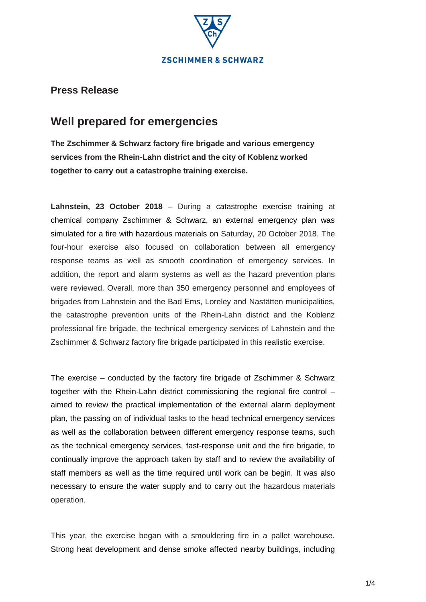

# **Well prepared for emergencies**

**The Zschimmer & Schwarz factory fire brigade and various emergency services from the Rhein-Lahn district and the city of Koblenz worked together to carry out a catastrophe training exercise.**

**Lahnstein, 23 October 2018** – During a catastrophe exercise training at chemical company Zschimmer & Schwarz, an external emergency plan was simulated for a fire with hazardous materials on Saturday, 20 October 2018. The four-hour exercise also focused on collaboration between all emergency response teams as well as smooth coordination of emergency services. In addition, the report and alarm systems as well as the hazard prevention plans were reviewed. Overall, more than 350 emergency personnel and employees of brigades from Lahnstein and the Bad Ems, Loreley and Nastätten municipalities, the catastrophe prevention units of the Rhein-Lahn district and the Koblenz professional fire brigade, the technical emergency services of Lahnstein and the Zschimmer & Schwarz factory fire brigade participated in this realistic exercise.

The exercise – conducted by the factory fire brigade of Zschimmer & Schwarz together with the Rhein-Lahn district commissioning the regional fire control – aimed to review the practical implementation of the external alarm deployment plan, the passing on of individual tasks to the head technical emergency services as well as the collaboration between different emergency response teams, such as the technical emergency services, fast-response unit and the fire brigade, to continually improve the approach taken by staff and to review the availability of staff members as well as the time required until work can be begin. It was also necessary to ensure the water supply and to carry out the hazardous materials operation.

This year, the exercise began with a smouldering fire in a pallet warehouse. Strong heat development and dense smoke affected nearby buildings, including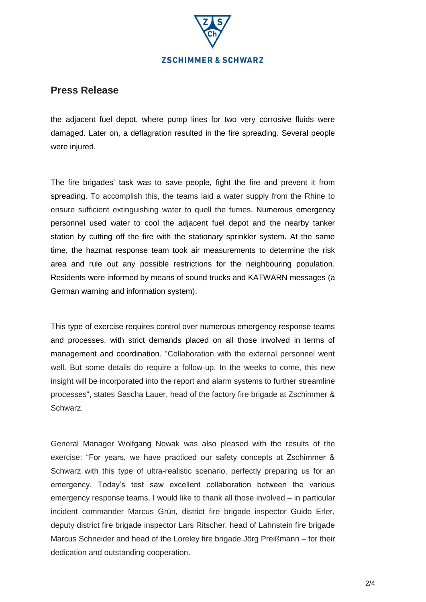

the adjacent fuel depot, where pump lines for two very corrosive fluids were damaged. Later on, a deflagration resulted in the fire spreading. Several people were injured.

The fire brigades' task was to save people, fight the fire and prevent it from spreading. To accomplish this, the teams laid a water supply from the Rhine to ensure sufficient extinguishing water to quell the fumes. Numerous emergency personnel used water to cool the adjacent fuel depot and the nearby tanker station by cutting off the fire with the stationary sprinkler system. At the same time, the hazmat response team took air measurements to determine the risk area and rule out any possible restrictions for the neighbouring population. Residents were informed by means of sound trucks and KATWARN messages (a German warning and information system).

This type of exercise requires control over numerous emergency response teams and processes, with strict demands placed on all those involved in terms of management and coordination. "Collaboration with the external personnel went well. But some details do require a follow-up. In the weeks to come, this new insight will be incorporated into the report and alarm systems to further streamline processes", states Sascha Lauer, head of the factory fire brigade at Zschimmer & Schwarz.

General Manager Wolfgang Nowak was also pleased with the results of the exercise: "For years, we have practiced our safety concepts at Zschimmer & Schwarz with this type of ultra-realistic scenario, perfectly preparing us for an emergency. Today's test saw excellent collaboration between the various emergency response teams. I would like to thank all those involved – in particular incident commander Marcus Grün, district fire brigade inspector Guido Erler, deputy district fire brigade inspector Lars Ritscher, head of Lahnstein fire brigade Marcus Schneider and head of the Loreley fire brigade Jörg Preißmann – for their dedication and outstanding cooperation.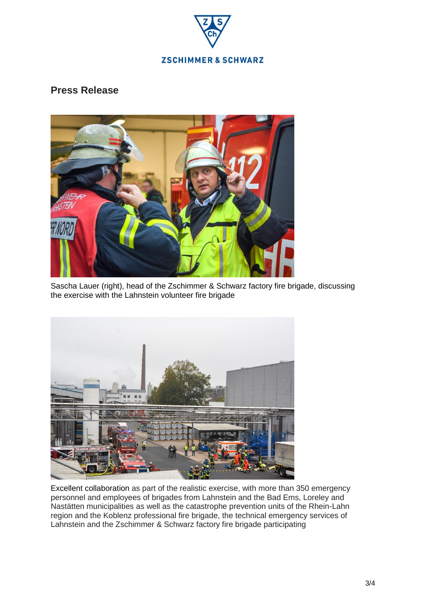



Sascha Lauer (right), head of the Zschimmer & Schwarz factory fire brigade, discussing the exercise with the Lahnstein volunteer fire brigade



Excellent collaboration as part of the realistic exercise, with more than 350 emergency personnel and employees of brigades from Lahnstein and the Bad Ems, Loreley and Nastätten municipalities as well as the catastrophe prevention units of the Rhein-Lahn region and the Koblenz professional fire brigade, the technical emergency services of Lahnstein and the Zschimmer & Schwarz factory fire brigade participating